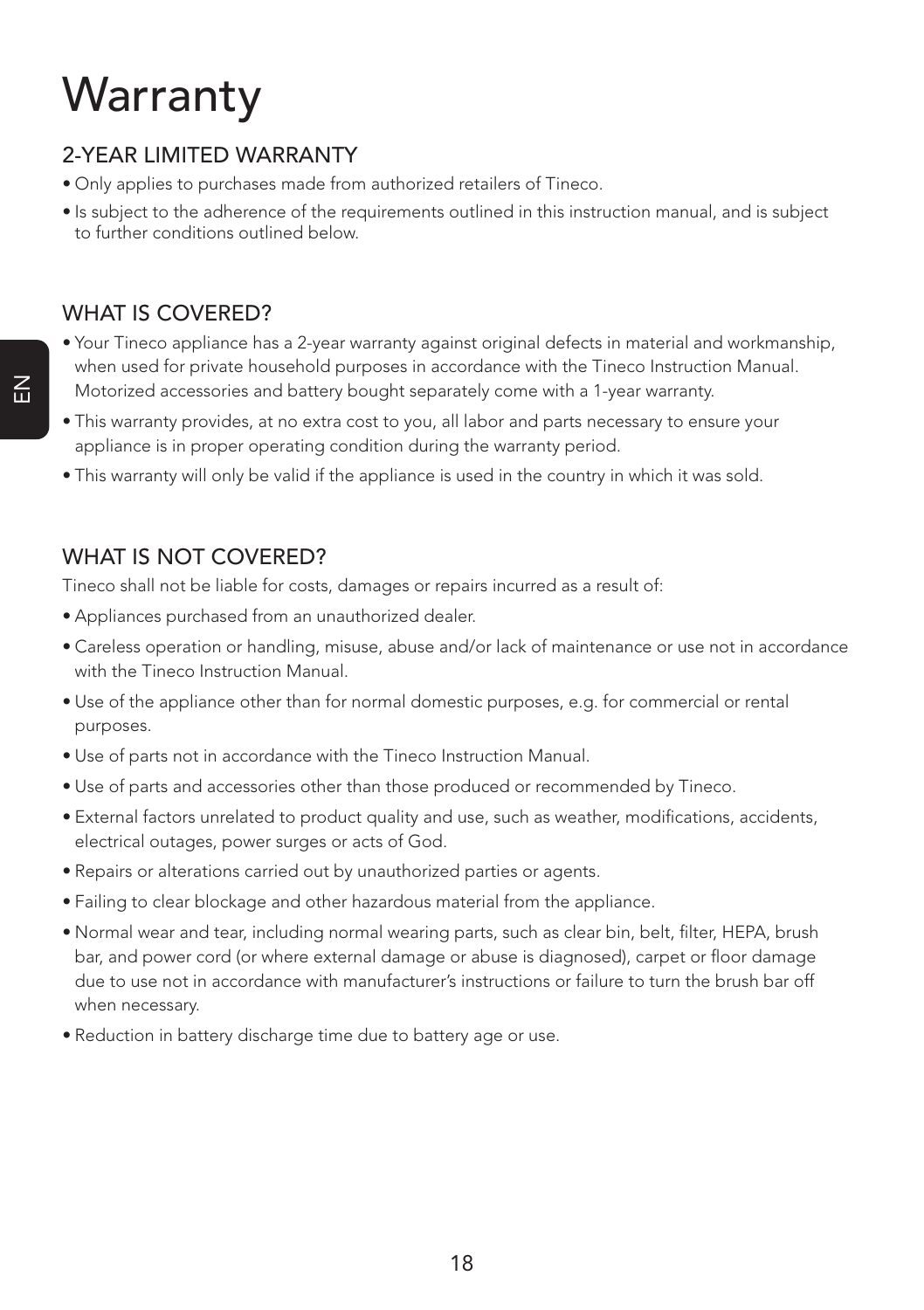# **Warranty**

### 2-YEAR LIMITED WARRANTY

- Only applies to purchases made from authorized retailers of Tineco.
- Is subject to the adherence of the requirements outlined in this instruction manual, and is subject to further conditions outlined below.

### WHAT IS COVERED?

- Your Tineco appliance has a 2-year warranty against original defects in material and workmanship, when used for private household purposes in accordance with the Tineco Instruction Manual. Motorized accessories and battery bought separately come with a 1-year warranty.
- This warranty provides, at no extra cost to you, all labor and parts necessary to ensure your appliance is in proper operating condition during the warranty period.
- This warranty will only be valid if the appliance is used in the country in which it was sold.

#### WHAT IS NOT COVERED?

Tineco shall not be liable for costs, damages or repairs incurred as a result of:

- Appliances purchased from an unauthorized dealer.
- Careless operation or handling, misuse, abuse and/or lack of maintenance or use not in accordance with the Tineco Instruction Manual.
- Use of the appliance other than for normal domestic purposes, e.g. for commercial or rental purposes.
- Use of parts not in accordance with the Tineco Instruction Manual.
- Use of parts and accessories other than those produced or recommended by Tineco.
- External factors unrelated to product quality and use, such as weather, modifications, accidents, electrical outages, power surges or acts of God.
- Repairs or alterations carried out by unauthorized parties or agents.
- Failing to clear blockage and other hazardous material from the appliance.
- Normal wear and tear, including normal wearing parts, such as clear bin, belt, filter, HEPA, brush bar, and power cord (or where external damage or abuse is diagnosed), carpet or floor damage due to use not in accordance with manufacturer's instructions or failure to turn the brush bar off when necessary.
- Reduction in battery discharge time due to battery age or use.